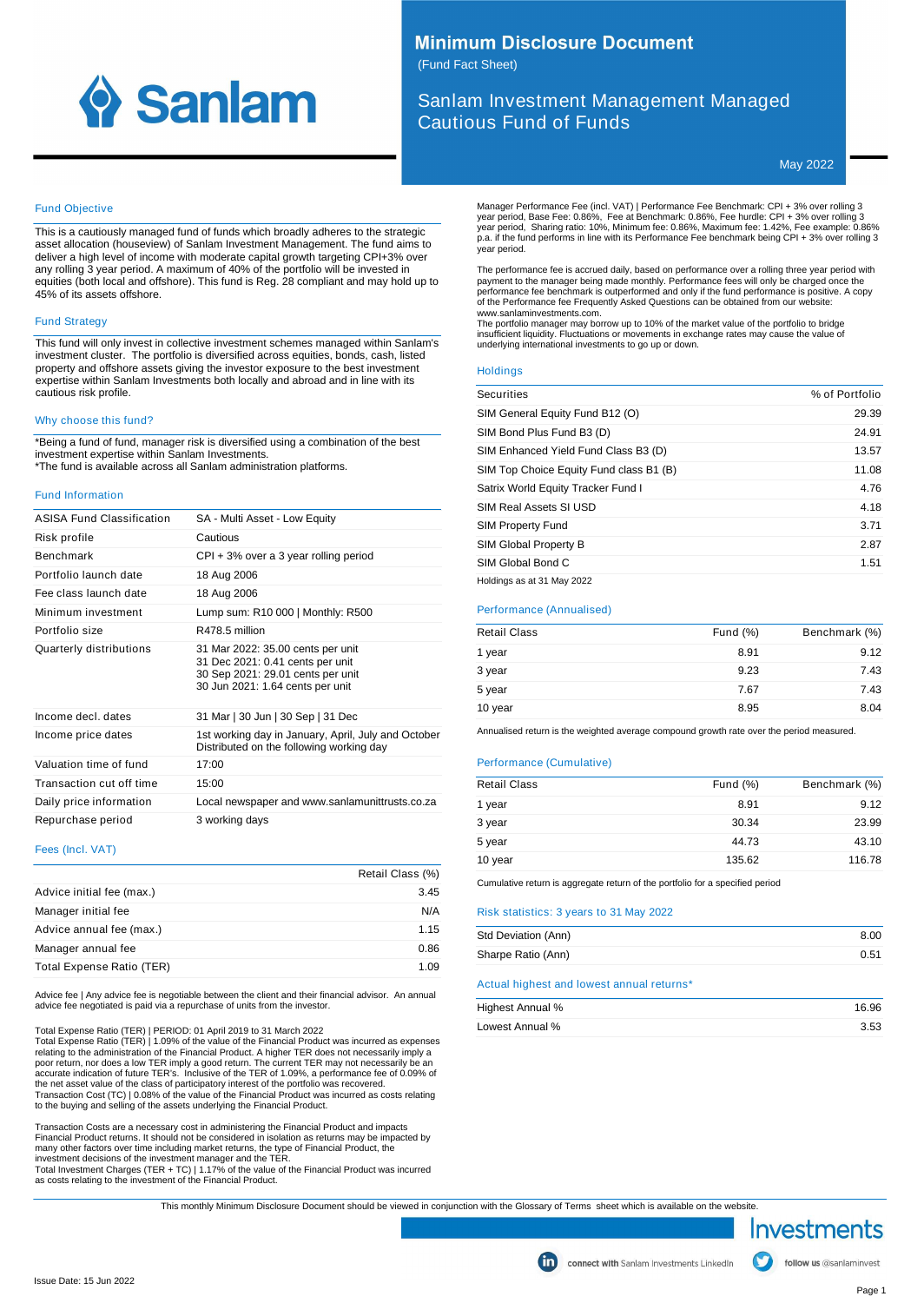

# **Minimum Disclosure Document**

(Fund Fact Sheet)

Sanlam Investment Management Managed Cautious Fund of Funds

May 2022

#### Fund Objective

This is a cautiously managed fund of funds which broadly adheres to the strategic asset allocation (houseview) of Sanlam Investment Management. The fund aims to deliver a high level of income with moderate capital growth targeting CPI+3% over any rolling 3 year period. A maximum of 40% of the portfolio will be invested in equities (both local and offshore). This fund is Reg. 28 compliant and may hold up to 45% of its assets offshore.

# Fund Strategy

This fund will only invest in collective investment schemes managed within Sanlam's investment cluster. The portfolio is diversified across equities, bonds, cash, listed property and offshore assets giving the investor exposure to the best investment expertise within Sanlam Investments both locally and abroad and in line with its cautious risk profile.

#### Why choose this fund?

\*Being a fund of fund, manager risk is diversified using a combination of the best investment expertise within Sanlam Investments. \*The fund is available across all Sanlam administration platforms.

#### Fund Information

| ASISA Fund Classification | SA - Multi Asset - Low Equity                                                                                                                  |
|---------------------------|------------------------------------------------------------------------------------------------------------------------------------------------|
| Risk profile              | Cautious                                                                                                                                       |
| <b>Benchmark</b>          | $CPI + 3%$ over a 3 year rolling period                                                                                                        |
| Portfolio launch date     | 18 Aug 2006                                                                                                                                    |
| Fee class launch date     | 18 Aug 2006                                                                                                                                    |
| Minimum investment        | Lump sum: R10 000   Monthly: R500                                                                                                              |
| Portfolio size            | R478.5 million                                                                                                                                 |
| Quarterly distributions   | 31 Mar 2022: 35.00 cents per unit<br>31 Dec 2021: 0.41 cents per unit<br>30 Sep 2021: 29.01 cents per unit<br>30 Jun 2021: 1.64 cents per unit |
| Income decl. dates        | 31 Mar   30 Jun   30 Sep   31 Dec                                                                                                              |
| Income price dates        | 1st working day in January, April, July and October<br>Distributed on the following working day                                                |
| Valuation time of fund    | 17:00                                                                                                                                          |
| Transaction cut off time  | 15:00                                                                                                                                          |
| Daily price information   | Local newspaper and www.sanlamunittrusts.co.za                                                                                                 |
| Repurchase period         | 3 working days                                                                                                                                 |
|                           |                                                                                                                                                |

# Fees (Incl. VAT)

|                           | Retail Class (%) |
|---------------------------|------------------|
| Advice initial fee (max.) | 3.45             |
| Manager initial fee       | N/A              |
| Advice annual fee (max.)  | 1.15             |
| Manager annual fee        | 0.86             |
| Total Expense Ratio (TER) | 1.09             |

Advice fee | Any advice fee is negotiable between the client and their financial advisor. An annual advice fee negotiated is paid via a repurchase of units from the investor.

Total Expense Ratio (TER) | PERIOD: 01 April 2019 to 31 March 2022<br>Total Expense Ratio (TER) | 1.09% of the value of the Financial Product was incurred as expenses<br>relating to the administration of the Financial Product. A poor return, nor does a low TER imply a good return. The current TER may not necessarily be an accurate indication of future TER's. Inclusive of the TER of 1.09%, a performance fee of 0.09% of the net asset value of the class of participatory interest of the portfolio was recovered. Transaction Cost (TC) | 0.08% of the value of the Financial Product was incurred as costs relating to the buying and selling of the assets underlying the Financial Product.

Transaction Costs are a necessary cost in administering the Financial Product and impacts<br>Financial Product returns. It should not be considered in isolation as returns may be impacted by<br>many other factors over time inclu

investment decisions of the investment manager and the TER.<br>Total Investment Charges (TER + TC) | 1.17% of the value of the Financial Product was incurred<br>as costs relating to the investment of the Financial Product.

Manager Performance Fee (incl. VAT) | Performance Fee Benchmark: CPI + 3% over rolling 3<br>year period, Base Fee: 0.86%, Fee at Benchmark: 0.86%, Fee hurdle: CPI + 3% over rolling 3<br>year period, Sharing ratio: 10%, Minimum f year period.

The performance fee is accrued daily, based on performance over a rolling three year period with payment to the manager being made monthly. Performance fees will only be charged once the<br>performance fee benchmark is outperformed and only if the fund performance is positive. A copy<br>of the Performance fee Frequently Ask www.sanlaminvestments.com.

The portfolio manager may borrow up to 10% of the market value of the portfolio to bridge insufficient liquidity. Fluctuations or movements in exchange rates may cause the value of underlying international investments to go up or down.

### **Holdings**

| Securities                              | % of Portfolio |
|-----------------------------------------|----------------|
| SIM General Equity Fund B12 (O)         | 29.39          |
| SIM Bond Plus Fund B3 (D)               | 24.91          |
| SIM Enhanced Yield Fund Class B3 (D)    | 13.57          |
| SIM Top Choice Equity Fund class B1 (B) | 11.08          |
| Satrix World Equity Tracker Fund I      | 4.76           |
| SIM Real Assets SI USD                  | 4.18           |
| <b>SIM Property Fund</b>                | 3.71           |
| SIM Global Property B                   | 2.87           |
| SIM Global Bond C                       | 1.51           |
| Holdings as at 31 May 2022              |                |

#### Performance (Annualised)

| <b>Retail Class</b> | Fund $(\%)$ | Benchmark (%) |
|---------------------|-------------|---------------|
| 1 year              | 8.91        | 9.12          |
| 3 year              | 9.23        | 7.43          |
| 5 year              | 7.67        | 7.43          |
| 10 year             | 8.95        | 8.04          |
|                     |             |               |

Annualised return is the weighted average compound growth rate over the period measured.

#### Performance (Cumulative)

| <b>Retail Class</b> | Fund $(\%)$ | Benchmark (%) |
|---------------------|-------------|---------------|
| 1 year              | 8.91        | 9.12          |
| 3 year              | 30.34       | 23.99         |
| 5 year              | 44.73       | 43.10         |
| 10 year             | 135.62      | 116.78        |
|                     |             |               |

Cumulative return is aggregate return of the portfolio for a specified period

# Risk statistics: 3 years to 31 May 2022

| Std Deviation (Ann)                       | 8.00 |
|-------------------------------------------|------|
| Sharpe Ratio (Ann)                        | 0.51 |
| Actual highest and lowest annual returns* |      |

| Highest Annual % | 16.96 |
|------------------|-------|
| Lowest Annual %  | 3.53  |

This monthly Minimum Disclosure Document should be viewed in conjunction with the Glossary of Terms sheet which is available on the website.



follow us @sanlaminvest